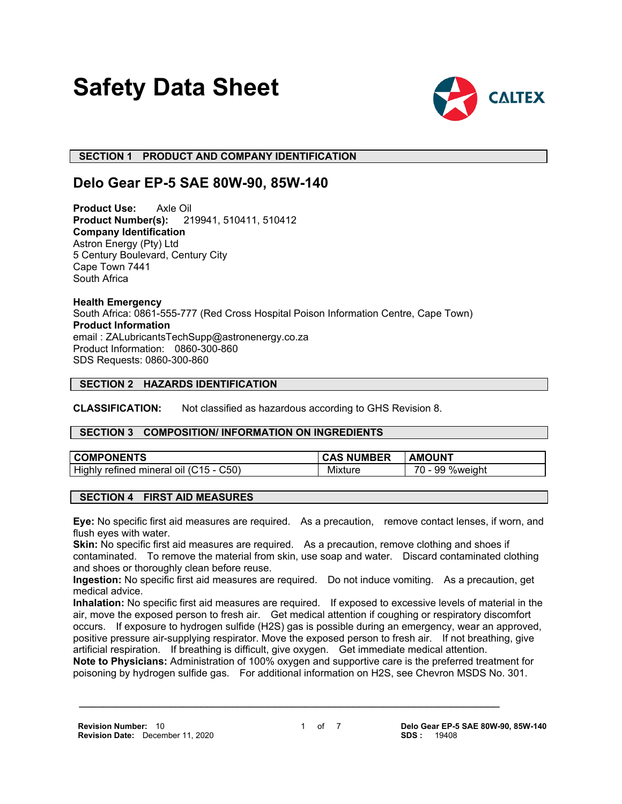# **Safety Data Sheet**



 **SECTION 1 PRODUCT AND COMPANY IDENTIFICATION**

# **Delo Gear EP-5 SAE 80W-90, 85W-140**

**Product Use:** Axle Oil<br>**Product Number(s):** 21 **Product Number(s):** 219941, 510411, 510412 **Company Identification** Astron Energy (Pty) Ltd 5 Century Boulevard, Century City Cape Town 7441 South Africa

**Health Emergency** South Africa: 0861-555-777 (Red Cross Hospital Poison Information Centre, Cape Town) **Product Information** email : ZALubricantsTechSupp@astronenergy.co.za Product Information: 0860-300-860 SDS Requests: 0860-300-860

# **SECTION 2 HAZARDS IDENTIFICATION**

**CLASSIFICATION:** Not classified as hazardous according to GHS Revision 8.

# **SECTION 3 COMPOSITION/ INFORMATION ON INGREDIENTS**

| <b>COMPONENTS</b>                                                               | <b>NUMBER</b> | <b>AMOUNT</b>       |
|---------------------------------------------------------------------------------|---------------|---------------------|
| Highly<br>C50<br>$^{\circ}$ $^{\circ}$ 15 - $\sim$<br>mineral<br>refined<br>ΩIJ | Mixture       | %weight<br>70<br>99 |

# **SECTION 4 FIRST AID MEASURES**

**Eye:** No specific first aid measures are required. As a precaution, remove contact lenses, if worn, and flush eyes with water.

**Skin:** No specific first aid measures are required. As a precaution, remove clothing and shoes if contaminated. To remove the material from skin, use soap and water. Discard contaminated clothing and shoes or thoroughly clean before reuse.

**Ingestion:** No specific first aid measures are required. Do not induce vomiting. As a precaution, get medical advice.

**Inhalation:** No specific first aid measures are required. If exposed to excessive levels of material in the air, move the exposed person to fresh air. Get medical attention if coughing or respiratory discomfort occurs. If exposure to hydrogen sulfide (H2S) gas is possible during an emergency, wear an approved, positive pressure air-supplying respirator. Move the exposed person to fresh air. If not breathing, give artificial respiration. If breathing is difficult, give oxygen. Get immediate medical attention.

**Note to Physicians:** Administration of 100% oxygen and supportive care is the preferred treatment for poisoning by hydrogen sulfide gas. For additional information on H2S, see Chevron MSDS No. 301.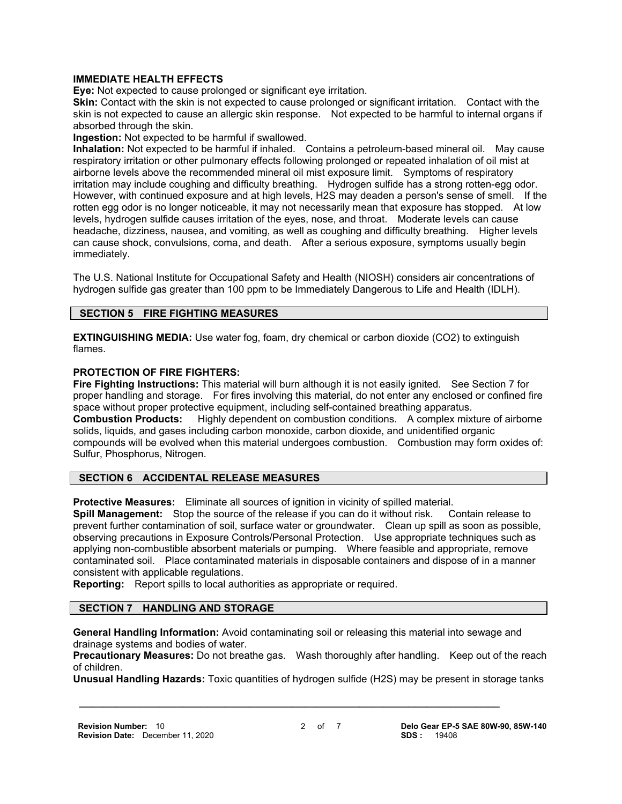## **IMMEDIATE HEALTH EFFECTS**

**Eye:** Not expected to cause prolonged or significant eye irritation.

**Skin:** Contact with the skin is not expected to cause prolonged or significant irritation. Contact with the skin is not expected to cause an allergic skin response. Not expected to be harmful to internal organs if absorbed through the skin.

**Ingestion:** Not expected to be harmful if swallowed.

**Inhalation:** Not expected to be harmful if inhaled. Contains a petroleum-based mineral oil. May cause respiratory irritation or other pulmonary effects following prolonged or repeated inhalation of oil mist at airborne levels above the recommended mineral oil mist exposure limit. Symptoms of respiratory irritation may include coughing and difficulty breathing. Hydrogen sulfide has a strong rotten-egg odor. However, with continued exposure and at high levels, H2S may deaden a person's sense of smell. If the rotten egg odor is no longer noticeable, it may not necessarily mean that exposure has stopped. At low levels, hydrogen sulfide causes irritation of the eyes, nose, and throat. Moderate levels can cause headache, dizziness, nausea, and vomiting, as well as coughing and difficulty breathing. Higher levels can cause shock, convulsions, coma, and death. After a serious exposure, symptoms usually begin immediately.

The U.S. National Institute for Occupational Safety and Health (NIOSH) considers air concentrations of hydrogen sulfide gas greater than 100 ppm to be Immediately Dangerous to Life and Health (IDLH).

# **SECTION 5 FIRE FIGHTING MEASURES**

**EXTINGUISHING MEDIA:** Use water fog, foam, dry chemical or carbon dioxide (CO2) to extinguish flames.

#### **PROTECTION OF FIRE FIGHTERS:**

**Fire Fighting Instructions:** This material will burn although it is not easily ignited. See Section 7 for proper handling and storage. For fires involving this material, do not enter any enclosed or confined fire space without proper protective equipment, including self-contained breathing apparatus. **Combustion Products:** Highly dependent on combustion conditions. A complex mixture of airborne solids, liquids, and gases including carbon monoxide, carbon dioxide, and unidentified organic compounds will be evolved when this material undergoes combustion. Combustion may form oxides of: Sulfur, Phosphorus, Nitrogen.

# **SECTION 6 ACCIDENTAL RELEASE MEASURES**

**Protective Measures:** Eliminate all sources of ignition in vicinity of spilled material.

**Spill Management:** Stop the source of the release if you can do it without risk. Contain release to prevent further contamination of soil, surface water or groundwater. Clean up spill as soon as possible, observing precautions in Exposure Controls/Personal Protection. Use appropriate techniques such as applying non-combustible absorbent materials or pumping. Where feasible and appropriate, remove contaminated soil. Place contaminated materials in disposable containers and dispose of in a manner consistent with applicable regulations.

**Reporting:** Report spills to local authorities as appropriate or required.

# **SECTION 7 HANDLING AND STORAGE**

**General Handling Information:** Avoid contaminating soil or releasing this material into sewage and drainage systems and bodies of water.

 **\_\_\_\_\_\_\_\_\_\_\_\_\_\_\_\_\_\_\_\_\_\_\_\_\_\_\_\_\_\_\_\_\_\_\_\_\_\_\_\_\_\_\_\_\_\_\_\_\_\_\_\_\_\_\_\_\_\_\_\_\_\_\_\_\_\_\_\_\_**

**Precautionary Measures:** Do not breathe gas. Wash thoroughly after handling. Keep out of the reach of children.

**Unusual Handling Hazards:** Toxic quantities of hydrogen sulfide (H2S) may be present in storage tanks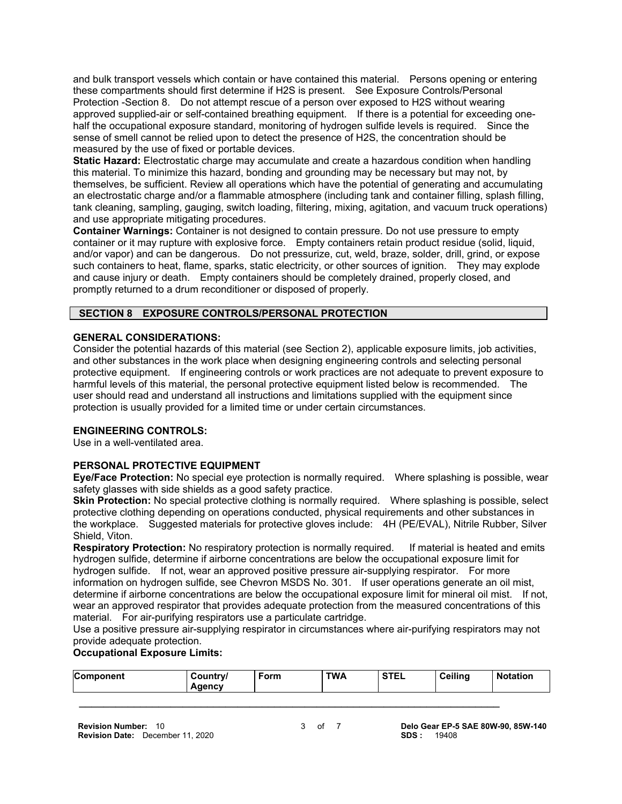and bulk transport vessels which contain or have contained this material. Persons opening or entering these compartments should first determine if H2S is present. See Exposure Controls/Personal Protection -Section 8. Do not attempt rescue of a person over exposed to H2S without wearing approved supplied-air or self-contained breathing equipment. If there is a potential for exceeding onehalf the occupational exposure standard, monitoring of hydrogen sulfide levels is required. Since the sense of smell cannot be relied upon to detect the presence of H2S, the concentration should be measured by the use of fixed or portable devices.

**Static Hazard:** Electrostatic charge may accumulate and create a hazardous condition when handling this material. To minimize this hazard, bonding and grounding may be necessary but may not, by themselves, be sufficient. Review all operations which have the potential of generating and accumulating an electrostatic charge and/or a flammable atmosphere (including tank and container filling, splash filling, tank cleaning, sampling, gauging, switch loading, filtering, mixing, agitation, and vacuum truck operations) and use appropriate mitigating procedures.

**Container Warnings:** Container is not designed to contain pressure. Do not use pressure to empty container or it may rupture with explosive force. Empty containers retain product residue (solid, liquid, and/or vapor) and can be dangerous. Do not pressurize, cut, weld, braze, solder, drill, grind, or expose such containers to heat, flame, sparks, static electricity, or other sources of ignition. They may explode and cause injury or death. Empty containers should be completely drained, properly closed, and promptly returned to a drum reconditioner or disposed of properly.

# **SECTION 8 EXPOSURE CONTROLS/PERSONAL PROTECTION**

# **GENERAL CONSIDERATIONS:**

Consider the potential hazards of this material (see Section 2), applicable exposure limits, job activities, and other substances in the work place when designing engineering controls and selecting personal protective equipment. If engineering controls or work practices are not adequate to prevent exposure to harmful levels of this material, the personal protective equipment listed below is recommended. The user should read and understand all instructions and limitations supplied with the equipment since protection is usually provided for a limited time or under certain circumstances.

# **ENGINEERING CONTROLS:**

Use in a well-ventilated area.

# **PERSONAL PROTECTIVE EQUIPMENT**

**Eye/Face Protection:** No special eye protection is normally required. Where splashing is possible, wear safety glasses with side shields as a good safety practice.

**Skin Protection:** No special protective clothing is normally required. Where splashing is possible, select protective clothing depending on operations conducted, physical requirements and other substances in the workplace. Suggested materials for protective gloves include: 4H (PE/EVAL), Nitrile Rubber, Silver Shield, Viton.

**Respiratory Protection:** No respiratory protection is normally required. If material is heated and emits hydrogen sulfide, determine if airborne concentrations are below the occupational exposure limit for hydrogen sulfide. If not, wear an approved positive pressure air-supplying respirator. For more information on hydrogen sulfide, see Chevron MSDS No. 301. If user operations generate an oil mist, determine if airborne concentrations are below the occupational exposure limit for mineral oil mist. If not, wear an approved respirator that provides adequate protection from the measured concentrations of this material. For air-purifying respirators use a particulate cartridge.

Use a positive pressure air-supplying respirator in circumstances where air-purifying respirators may not provide adequate protection.

# **Occupational Exposure Limits:**

| <b>Component</b> | Country/<br>Agency | ັ <sup>⊏</sup> orm | <b>TWA</b> | <b>STEL</b> | <b>Ceiling</b> | <b>Notation</b> |
|------------------|--------------------|--------------------|------------|-------------|----------------|-----------------|
|                  |                    |                    |            |             |                |                 |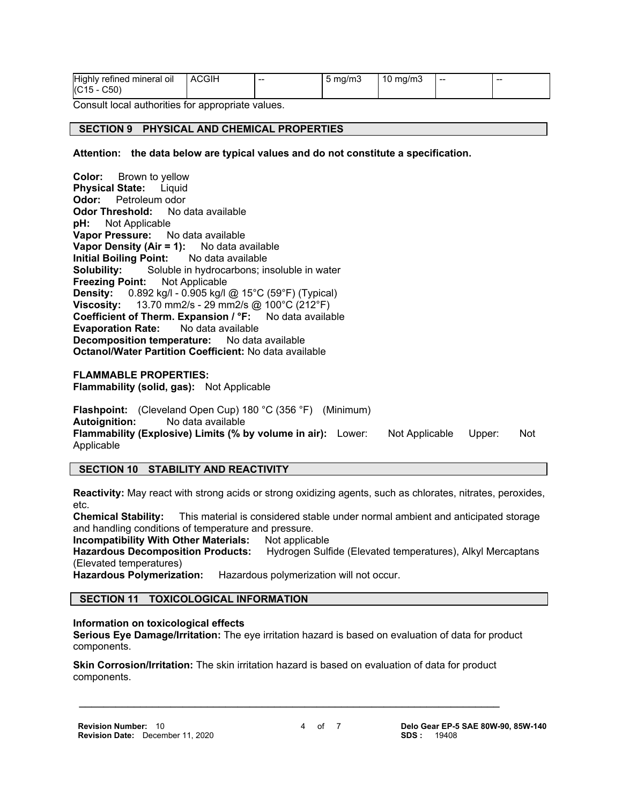| <b>Highly</b><br>refined mineral oil | ACGIH | -- | ma/m3<br>ັ | mg/m3<br>. 10 | -- | -- |
|--------------------------------------|-------|----|------------|---------------|----|----|
| (C15)<br>$-C50$                      |       |    |            |               |    |    |

Consult local authorities for appropriate values.

#### **SECTION 9 PHYSICAL AND CHEMICAL PROPERTIES**

#### **Attention: the data below are typical values and do not constitute a specification.**

**Color:** Brown to yellow **Physical State:** Liquid **Odor:** Petroleum odor **Odor Threshold:** No data available **pH:** Not Applicable **Vapor Pressure:** No data available **Vapor Density (Air = 1):** No data available **Initial Boiling Point:** No data available **Solubility:** Soluble in hydrocarbons; insoluble in water **Freezing Point:** Not Applicable **Density:** 0.892 kg/l - 0.905 kg/l @ 15°C (59°F) (Typical) **Viscosity:** 13.70 mm2/s - 29 mm2/s @ 100°C (212°F) **Coefficient of Therm. Expansion / °F:** No data available **Evaporation Rate:** No data available **Decomposition temperature:** No data available **Octanol/Water Partition Coefficient:** No data available **FLAMMABLE PROPERTIES: Flammability (solid, gas):** Not Applicable

**Flashpoint:** (Cleveland Open Cup) 180 °C (356 °F) (Minimum) **Autoignition:** No data available **Flammability (Explosive) Limits (% by volume in air):** Lower: Not Applicable Upper: Not Applicable

#### **SECTION 10 STABILITY AND REACTIVITY**

**Reactivity:** May react with strong acids or strong oxidizing agents, such as chlorates, nitrates, peroxides, etc.

**Chemical Stability:** This material is considered stable under normal ambient and anticipated storage and handling conditions of temperature and pressure.

**Incompatibility With Other Materials:** Not applicable

**Hazardous Decomposition Products:** Hydrogen Sulfide (Elevated temperatures), Alkyl Mercaptans (Elevated temperatures)

**Hazardous Polymerization:** Hazardous polymerization will not occur.

# **SECTION 11 TOXICOLOGICAL INFORMATION**

#### **Information on toxicological effects**

**Serious Eye Damage/Irritation:** The eye irritation hazard is based on evaluation of data for product components.

**Skin Corrosion/Irritation:** The skin irritation hazard is based on evaluation of data for product components.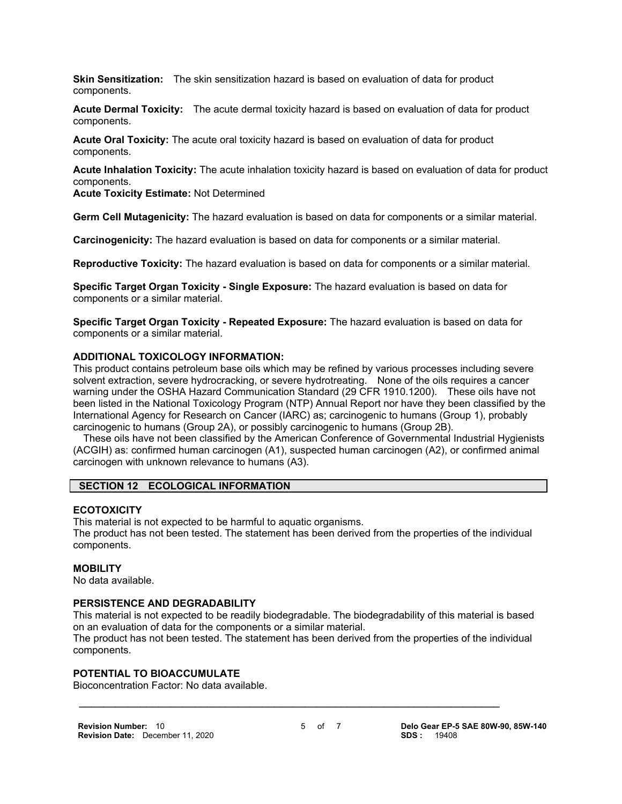**Skin Sensitization:** The skin sensitization hazard is based on evaluation of data for product components.

**Acute Dermal Toxicity:** The acute dermal toxicity hazard is based on evaluation of data for product components.

**Acute Oral Toxicity:** The acute oral toxicity hazard is based on evaluation of data for product components.

**Acute Inhalation Toxicity:** The acute inhalation toxicity hazard is based on evaluation of data for product components.

**Acute Toxicity Estimate:** Not Determined

**Germ Cell Mutagenicity:** The hazard evaluation is based on data for components or a similar material.

**Carcinogenicity:** The hazard evaluation is based on data for components or a similar material.

**Reproductive Toxicity:** The hazard evaluation is based on data for components or a similar material.

**Specific Target Organ Toxicity - Single Exposure:** The hazard evaluation is based on data for components or a similar material.

**Specific Target Organ Toxicity - Repeated Exposure:** The hazard evaluation is based on data for components or a similar material.

#### **ADDITIONAL TOXICOLOGY INFORMATION:**

This product contains petroleum base oils which may be refined by various processes including severe solvent extraction, severe hydrocracking, or severe hydrotreating. None of the oils requires a cancer warning under the OSHA Hazard Communication Standard (29 CFR 1910.1200). These oils have not been listed in the National Toxicology Program (NTP) Annual Report nor have they been classified by the International Agency for Research on Cancer (IARC) as; carcinogenic to humans (Group 1), probably carcinogenic to humans (Group 2A), or possibly carcinogenic to humans (Group 2B).

 These oils have not been classified by the American Conference of Governmental Industrial Hygienists (ACGIH) as: confirmed human carcinogen (A1), suspected human carcinogen (A2), or confirmed animal carcinogen with unknown relevance to humans (A3).

# **SECTION 12 ECOLOGICAL INFORMATION**

#### **ECOTOXICITY**

This material is not expected to be harmful to aquatic organisms. The product has not been tested. The statement has been derived from the properties of the individual components.

#### **MOBILITY**

No data available.

# **PERSISTENCE AND DEGRADABILITY**

This material is not expected to be readily biodegradable. The biodegradability of this material is based on an evaluation of data for the components or a similar material.

The product has not been tested. The statement has been derived from the properties of the individual components.

 **\_\_\_\_\_\_\_\_\_\_\_\_\_\_\_\_\_\_\_\_\_\_\_\_\_\_\_\_\_\_\_\_\_\_\_\_\_\_\_\_\_\_\_\_\_\_\_\_\_\_\_\_\_\_\_\_\_\_\_\_\_\_\_\_\_\_\_\_\_**

# **POTENTIAL TO BIOACCUMULATE**

Bioconcentration Factor: No data available.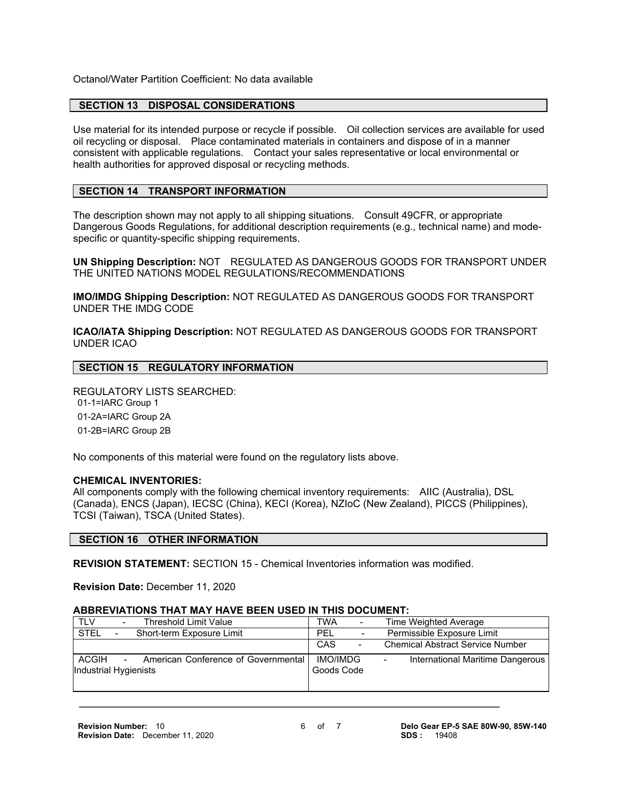Octanol/Water Partition Coefficient: No data available

#### **SECTION 13 DISPOSAL CONSIDERATIONS**

Use material for its intended purpose or recycle if possible. Oil collection services are available for used oil recycling or disposal. Place contaminated materials in containers and dispose of in a manner consistent with applicable regulations. Contact your sales representative or local environmental or health authorities for approved disposal or recycling methods.

# **SECTION 14 TRANSPORT INFORMATION**

The description shown may not apply to all shipping situations. Consult 49CFR, or appropriate Dangerous Goods Regulations, for additional description requirements (e.g., technical name) and modespecific or quantity-specific shipping requirements.

**UN Shipping Description:** NOT REGULATED AS DANGEROUS GOODS FOR TRANSPORT UNDER THE UNITED NATIONS MODEL REGULATIONS/RECOMMENDATIONS

**IMO/IMDG Shipping Description:** NOT REGULATED AS DANGEROUS GOODS FOR TRANSPORT UNDER THE IMDG CODE

**ICAO/IATA Shipping Description:** NOT REGULATED AS DANGEROUS GOODS FOR TRANSPORT UNDER ICAO

# **SECTION 15 REGULATORY INFORMATION**

REGULATORY LISTS SEARCHED: 01-1=IARC Group 1

01-2A=IARC Group 2A

01-2B=IARC Group 2B

No components of this material were found on the regulatory lists above.

#### **CHEMICAL INVENTORIES:**

All components comply with the following chemical inventory requirements: AIIC (Australia), DSL (Canada), ENCS (Japan), IECSC (China), KECI (Korea), NZIoC (New Zealand), PICCS (Philippines), TCSI (Taiwan), TSCA (United States).

#### **SECTION 16 OTHER INFORMATION**

**REVISION STATEMENT:** SECTION 15 - Chemical Inventories information was modified.

**Revision Date:** December 11, 2020

#### **ABBREVIATIONS THAT MAY HAVE BEEN USED IN THIS DOCUMENT:**

| <b>TLV</b>            | Threshold Limit Value               | TWA        | $\overline{\phantom{a}}$     |   | Time Weighted Average                   |
|-----------------------|-------------------------------------|------------|------------------------------|---|-----------------------------------------|
| <b>STEL</b>           | Short-term Exposure Limit           | PEL        | $\qquad \qquad \blacksquare$ |   | Permissible Exposure Limit              |
|                       |                                     | CAS        | $\overline{a}$               |   | <b>Chemical Abstract Service Number</b> |
| ACGIH                 | American Conference of Governmental | IMO/IMDG   |                              | - | International Maritime Dangerous        |
| Industrial Hygienists |                                     | Goods Code |                              |   |                                         |
|                       |                                     |            |                              |   |                                         |